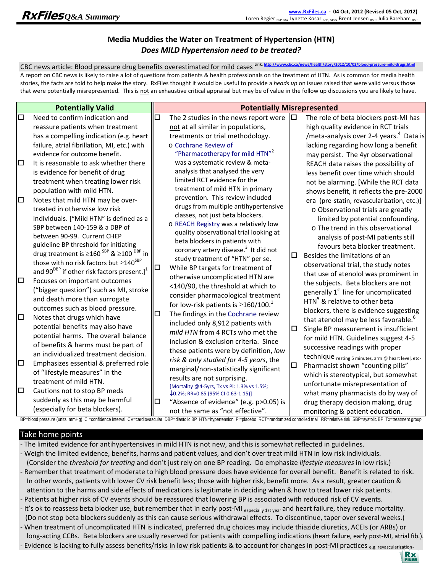# **Media Muddies the Water on Treatment of Hypertension (HTN)** *Does MILD Hypertension need to be treated?*

CBC news article: Blood pressure drug benefits overestimated for mild cases **Link**: **http://www.cbc.ca/news/health/story/2012/10/02/blood‐pressure‐mild‐drugs.html** A report on CBC news is likely to raise a lot of questions from patients & health professionals on the treatment of HTN. As is common for media health stories, the facts are told to help make the story. RxFiles thought it would be useful to provide a *heads up* on issues raised that were valid versus those that were potentially misrepresented. This is not an exhaustive critical appraisal but may be of value in the follow up discussions you are likely to have.

#### Take home points

- ‐ The limited evidence for antihypertensives in mild HTN is not new, and this is somewhat reflected in guidelines.
- ‐ Weigh the limited evidence, benefits, harms and patient values, and don't over treat mild HTN in low risk individuals. (Consider the *threshold for treating* and don't just rely on one BP reading. Do emphasize *lifestyle measures* in low risk.)
- Remember that treatment of moderate to high blood pressure does have evidence for overall benefit. Benefit is related to risk. In other words, patients with lower CV risk benefit less; those with higher risk, benefit more. As a result, greater caution & attention to the harms and side effects of medications is legitimate in deciding when & how to treat lower risk patients.
- ‐ Patients at higher risk of CV events should be reassured that lowering BP is associated with reduced risk of CV events.
- It's ok to reassess beta blocker use, but remember that in early post-MI especially 1st year and heart failure, they reduce mortality. (Do not stop beta blockers suddenly as this can cause serious withdrawal effects. To discontinue, taper over several weeks.)
- ‐ When treatment of uncomplicated HTN is indicated, preferred drug choices may include thiazide diuretics, ACEIs (or ARBs) or long‐acting CCBs. Beta blockers are usually reserved for patients with compelling indications (heart failure, early post‐MI, atrial fib.).
- Evidence is lacking to fully assess benefits/risks in low risk patients & to account for changes in post-MI practices e.g. revascularization.